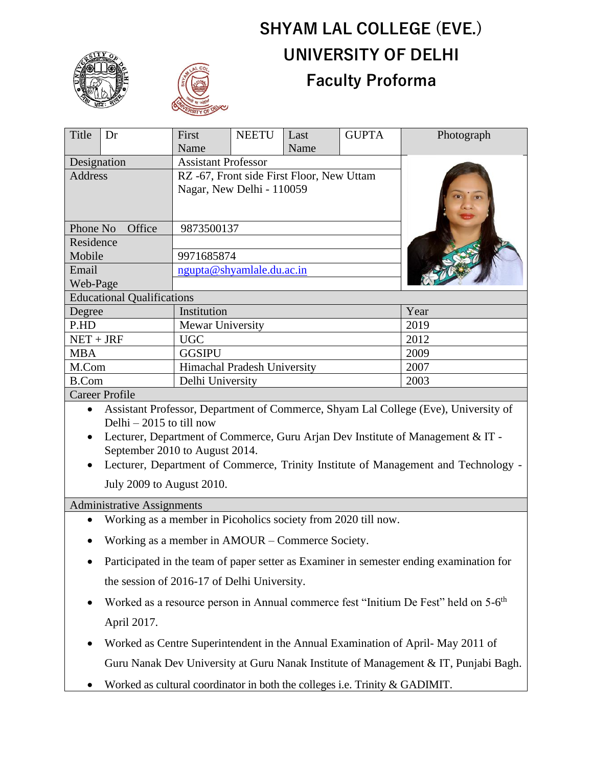

# **SHYAM LAL COLLEGE (EVE.) UNIVERSITY OF DELHI Faculty Proforma**

| Title                                                                                            | Dr | First                                     | <b>NEETU</b> | Last | <b>GUPTA</b> | Photograph |
|--------------------------------------------------------------------------------------------------|----|-------------------------------------------|--------------|------|--------------|------------|
|                                                                                                  |    | Name                                      |              | Name |              |            |
| Designation                                                                                      |    | <b>Assistant Professor</b>                |              |      |              |            |
| Address                                                                                          |    | RZ -67, Front side First Floor, New Uttam |              |      |              |            |
|                                                                                                  |    | Nagar, New Delhi - 110059                 |              |      |              |            |
|                                                                                                  |    |                                           |              |      |              |            |
| Phone No<br>Office                                                                               |    | 9873500137                                |              |      |              |            |
| Residence                                                                                        |    |                                           |              |      |              |            |
| Mobile                                                                                           |    | 9971685874                                |              |      |              |            |
| Email                                                                                            |    | ngupta@shyamlale.du.ac.in                 |              |      |              |            |
| Web-Page                                                                                         |    |                                           |              |      |              |            |
| <b>Educational Qualifications</b>                                                                |    |                                           |              |      |              |            |
| Degree                                                                                           |    | Institution                               |              |      |              | Year       |
| P.HD                                                                                             |    | Mewar University                          |              |      |              | 2019       |
| $NET + JRF$                                                                                      |    | <b>UGC</b>                                |              |      |              | 2012       |
| <b>MBA</b>                                                                                       |    | <b>GGSIPU</b>                             |              |      |              | 2009       |
| M.Com                                                                                            |    | Himachal Pradesh University               |              |      |              | 2007       |
| <b>B.Com</b>                                                                                     |    | Delhi University                          |              |      | 2003         |            |
| <b>Career Profile</b>                                                                            |    |                                           |              |      |              |            |
| Assistant Professor, Department of Commerce, Shyam Lal College (Eve), University of<br>$\bullet$ |    |                                           |              |      |              |            |
| Delhi $-2015$ to till now                                                                        |    |                                           |              |      |              |            |
| Lecturer, Department of Commerce, Guru Arian Dev Institute of Management & IT.                   |    |                                           |              |      |              |            |

- turer, Department of Commerce, Guru Arjan Dev Institute of Management & IT September 2010 to August 2014.
- Lecturer, Department of Commerce, Trinity Institute of Management and Technology July 2009 to August 2010.

Administrative Assignments

- Working as a member in Picoholics society from 2020 till now.
- Working as a member in AMOUR Commerce Society.
- Participated in the team of paper setter as Examiner in semester ending examination for the session of 2016-17 of Delhi University.
- Worked as a resource person in Annual commerce fest "Initium De Fest" held on 5-6<sup>th</sup> April 2017.
- Worked as Centre Superintendent in the Annual Examination of April- May 2011 of Guru Nanak Dev University at Guru Nanak Institute of Management & IT, Punjabi Bagh.
- Worked as cultural coordinator in both the colleges i.e. Trinity & GADIMIT.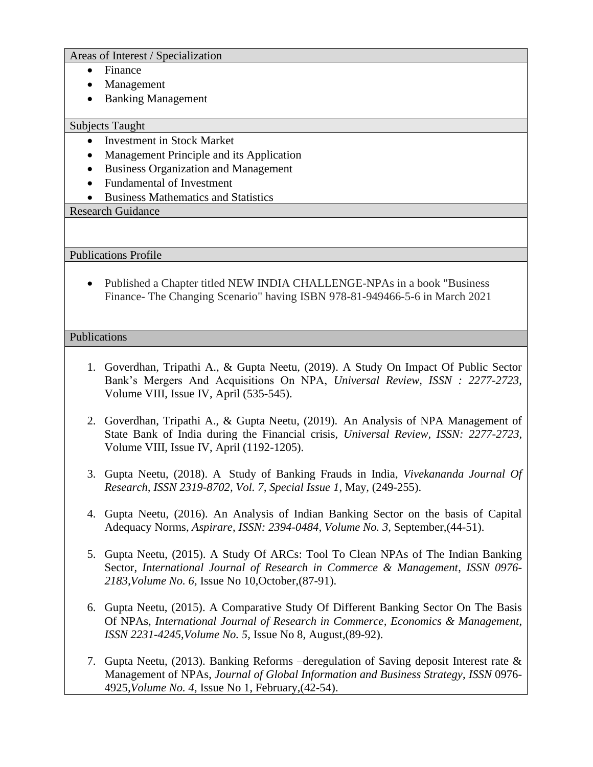#### Areas of Interest / Specialization

- Finance
- Management
- Banking Management

### Subjects Taught

- Investment in Stock Market
- Management Principle and its Application
- Business Organization and Management
- Fundamental of Investment
- Business Mathematics and Statistics

## Research Guidance

Publications Profile

• Published a Chapter titled NEW INDIA CHALLENGE-NPAs in a book "Business" Finance- The Changing Scenario" having ISBN 978-81-949466-5-6 in March 2021

## Publications

- 1. Goverdhan, Tripathi A., & Gupta Neetu, (2019). A Study On Impact Of Public Sector Bank's Mergers And Acquisitions On NPA, *Universal Review, ISSN : 2277-2723*, Volume VIII, Issue IV, April (535-545).
- 2. Goverdhan, Tripathi A., & Gupta Neetu, (2019). An Analysis of NPA Management of State Bank of India during the Financial crisis, *Universal Review, ISSN: 2277-2723*, Volume VIII, Issue IV, April (1192-1205).
- 3. Gupta Neetu, (2018). A Study of Banking Frauds in India, *Vivekananda Journal Of Research, ISSN 2319-8702, Vol. 7, Special Issue 1*, May*,* (249-255).
- 4. Gupta Neetu, (2016). An Analysis of Indian Banking Sector on the basis of Capital Adequacy Norms, *Aspirare*, *ISSN: 2394-0484, Volume No. 3,* September,(44-51).
- 5. Gupta Neetu, (2015). A Study Of ARCs: Tool To Clean NPAs of The Indian Banking Sector, *International Journal of Research in Commerce & Management*, *ISSN 0976- 2183,Volume No. 6,* Issue No 10,October,(87-91).
- 6. Gupta Neetu, (2015). A Comparative Study Of Different Banking Sector On The Basis Of NPAs, *International Journal of Research in Commerce, Economics & Management*, *ISSN 2231-4245,Volume No. 5,* Issue No 8, August,(89-92).
- 7. Gupta Neetu, (2013). Banking Reforms –deregulation of Saving deposit Interest rate & Management of NPAs, *Journal of Global Information and Business Strategy*, *ISSN* 0976- 4925*,Volume No. 4,* Issue No 1, February,(42-54).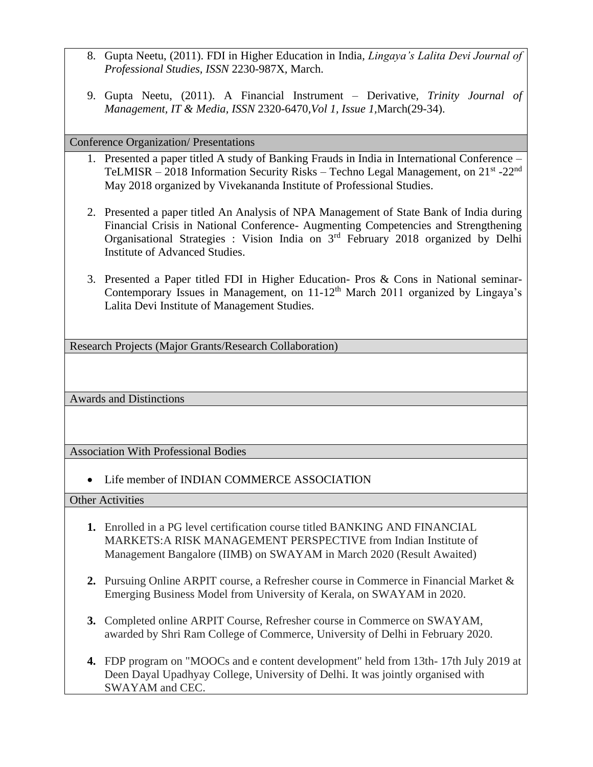- 8. Gupta Neetu, (2011). FDI in Higher Education in India*, Lingaya's Lalita Devi Journal of Professional Studies, ISSN* 2230-987X*,* March.
- 9. Gupta Neetu, (2011). A Financial Instrument Derivative*, Trinity Journal of Management, IT & Media, ISSN* 2320-6470*,Vol 1, Issue 1,*March(29-34).

Conference Organization/ Presentations

- 1. Presented a paper titled A study of Banking Frauds in India in International Conference TeLMISR - 2018 Information Security Risks - Techno Legal Management, on 21<sup>st</sup> -22<sup>nd</sup> May 2018 organized by Vivekananda Institute of Professional Studies.
- 2. Presented a paper titled An Analysis of NPA Management of State Bank of India during Financial Crisis in National Conference- Augmenting Competencies and Strengthening Organisational Strategies : Vision India on 3rd February 2018 organized by Delhi Institute of Advanced Studies.
- 3. Presented a Paper titled FDI in Higher Education- Pros & Cons in National seminar-Contemporary Issues in Management, on 11-12<sup>th</sup> March 2011 organized by Lingaya's Lalita Devi Institute of Management Studies.

Research Projects (Major Grants/Research Collaboration)

Awards and Distinctions

Association With Professional Bodies

• Life member of INDIAN COMMERCE ASSOCIATION

Other Activities

- **1.** Enrolled in a PG level certification course titled BANKING AND FINANCIAL MARKETS:A RISK MANAGEMENT PERSPECTIVE from Indian Institute of Management Bangalore (IIMB) on SWAYAM in March 2020 (Result Awaited)
- **2.** Pursuing Online ARPIT course, a Refresher course in Commerce in Financial Market & Emerging Business Model from University of Kerala, on SWAYAM in 2020.
- **3.** Completed online ARPIT Course, Refresher course in Commerce on SWAYAM, awarded by Shri Ram College of Commerce, University of Delhi in February 2020.
- **4.** FDP program on "MOOCs and e content development" held from 13th- 17th July 2019 at Deen Dayal Upadhyay College, University of Delhi. It was jointly organised with SWAYAM and CEC.